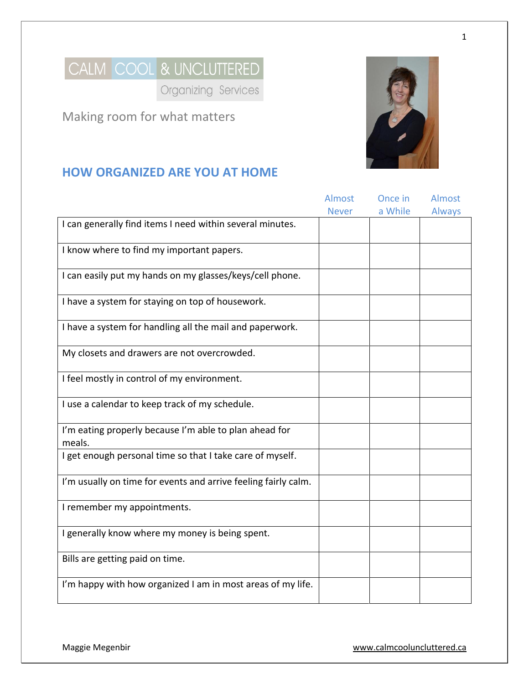

Organizing Services

Making room for what matters



# **HOW ORGANIZED ARE YOU AT HOME**

|                                                                  | <b>Almost</b> | Once in | Almost        |
|------------------------------------------------------------------|---------------|---------|---------------|
|                                                                  | <b>Never</b>  | a While | <b>Always</b> |
| I can generally find items I need within several minutes.        |               |         |               |
| I know where to find my important papers.                        |               |         |               |
| I can easily put my hands on my glasses/keys/cell phone.         |               |         |               |
| I have a system for staying on top of housework.                 |               |         |               |
| I have a system for handling all the mail and paperwork.         |               |         |               |
| My closets and drawers are not overcrowded.                      |               |         |               |
| I feel mostly in control of my environment.                      |               |         |               |
| I use a calendar to keep track of my schedule.                   |               |         |               |
| I'm eating properly because I'm able to plan ahead for<br>meals. |               |         |               |
| I get enough personal time so that I take care of myself.        |               |         |               |
| I'm usually on time for events and arrive feeling fairly calm.   |               |         |               |
| I remember my appointments.                                      |               |         |               |
| I generally know where my money is being spent.                  |               |         |               |
| Bills are getting paid on time.                                  |               |         |               |
| I'm happy with how organized I am in most areas of my life.      |               |         |               |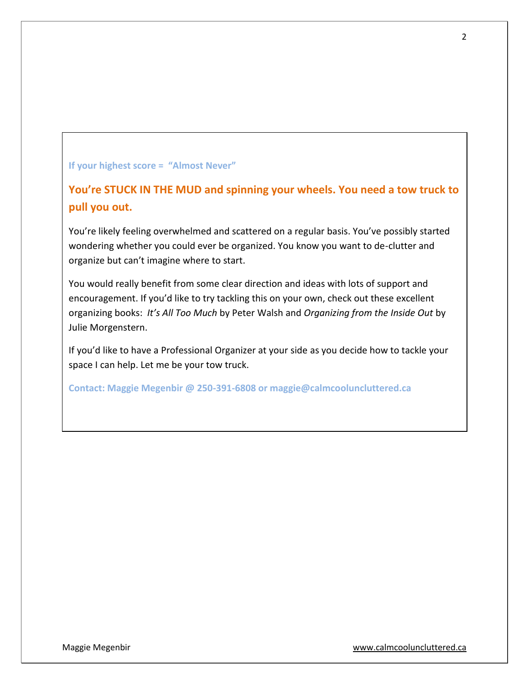#### **If your highest score = "Almost Never"**

**You're STUCK IN THE MUD and spinning your wheels. You need a tow truck to pull you out.**

You're likely feeling overwhelmed and scattered on a regular basis. You've possibly started wondering whether you could ever be organized. You know you want to de-clutter and organize but can't imagine where to start.

You would really benefit from some clear direction and ideas with lots of support and encouragement. If you'd like to try tackling this on your own, check out these excellent organizing books: *It's All Too Much* by Peter Walsh and *Organizing from the Inside Out* by Julie Morgenstern.

If you'd like to have a Professional Organizer at your side as you decide how to tackle your space I can help. Let me be your tow truck.

**Contact: Maggie Megenbir @ 250-391-6808 or maggie@calmcooluncluttered.ca**